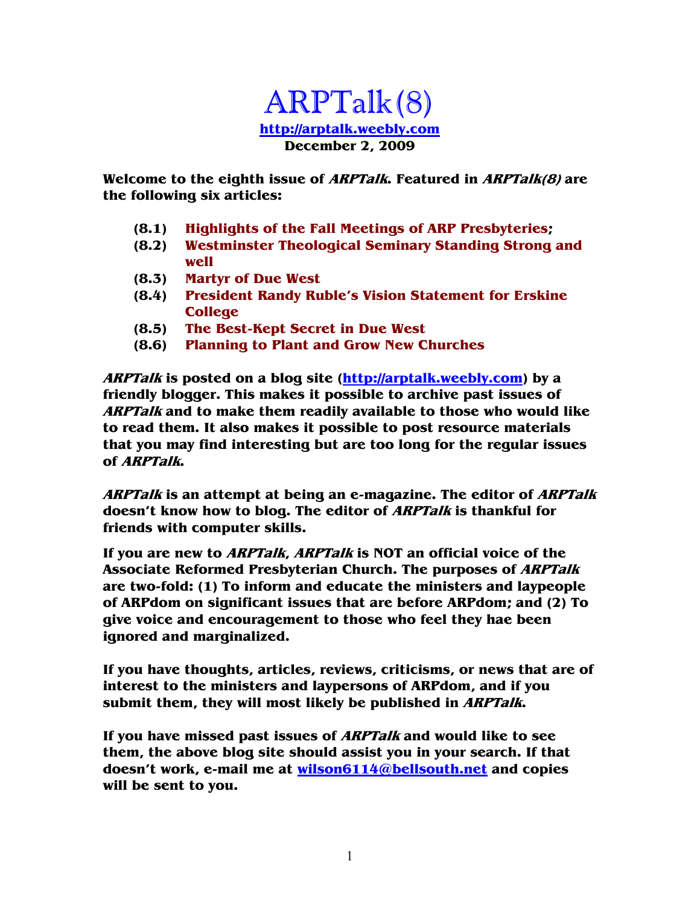#### ARPTalk(8) **http://arptalk.weebly.com December 2, 2009**

**Welcome to the eighth issue of ARPTalk. Featured in ARPTalk(8) are the following six articles:** 

- **(8.1) Highlights of the Fall Meetings of ARP Presbyteries;**
- **(8.2) Westminster Theological Seminary Standing Strong and well**
- **(8.3) Martyr of Due West**
- **(8.4) President Randy Ruble's Vision Statement for Erskine College**
- **(8.5) The Best-Kept Secret in Due West**
- **(8.6) Planning to Plant and Grow New Churches**

**ARPTalk is posted on a blog site (http://arptalk.weebly.com) by a friendly blogger. This makes it possible to archive past issues of ARPTalk and to make them readily available to those who would like to read them. It also makes it possible to post resource materials that you may find interesting but are too long for the regular issues of ARPTalk.** 

**ARPTalk is an attempt at being an e-magazine. The editor of ARPTalk doesn't know how to blog. The editor of ARPTalk is thankful for friends with computer skills.** 

**If you are new to ARPTalk, ARPTalk is NOT an official voice of the Associate Reformed Presbyterian Church. The purposes of ARPTalk are two-fold: (1) To inform and educate the ministers and laypeople of ARPdom on significant issues that are before ARPdom; and (2) To give voice and encouragement to those who feel they hae been ignored and marginalized.** 

**If you have thoughts, articles, reviews, criticisms, or news that are of interest to the ministers and laypersons of ARPdom, and if you submit them, they will most likely be published in ARPTalk.** 

**If you have missed past issues of ARPTalk and would like to see them, the above blog site should assist you in your search. If that doesn't work, e-mail me at wilson6114@bellsouth.net and copies will be sent to you.**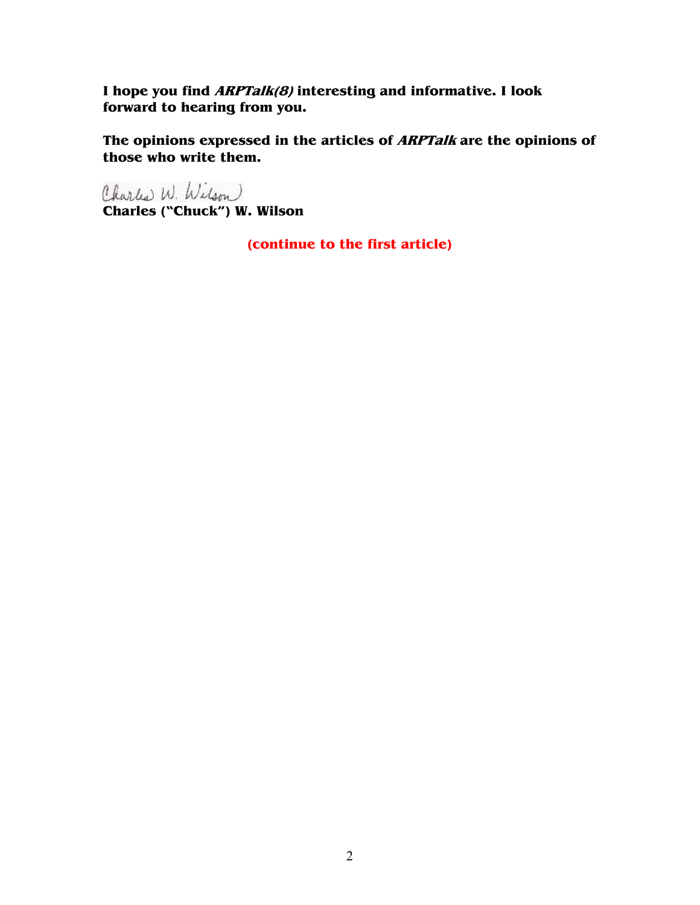**I hope you find ARPTalk(8) interesting and informative. I look forward to hearing from you.** 

**The opinions expressed in the articles of ARPTalk are the opinions of those who write them.** 

Charles W. Wilson **Charles ("Chuck") W. Wilson** 

**(continue to the first article)**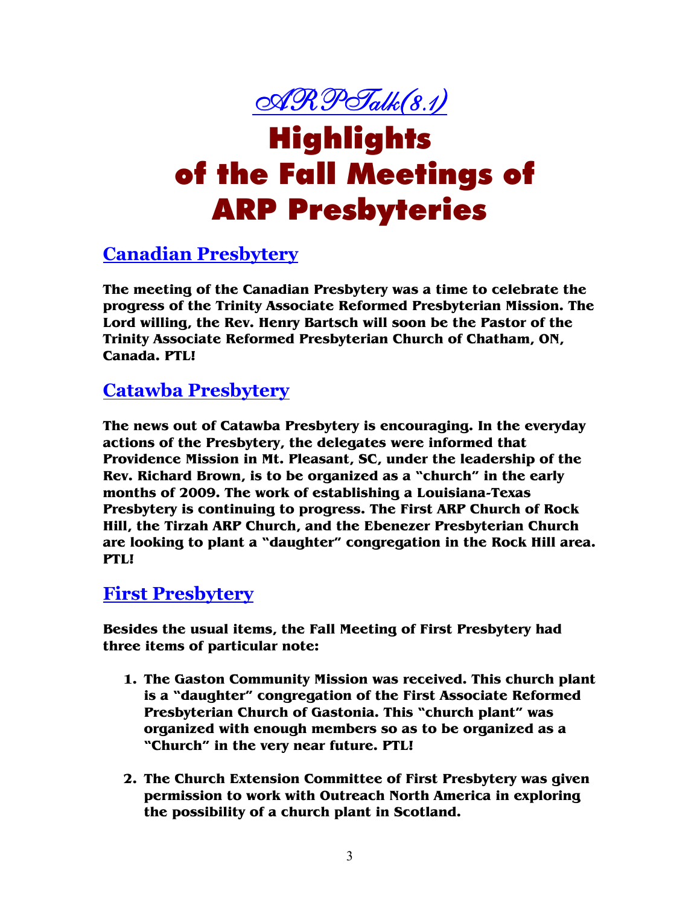

# Highlights of the Fall Meetings of ARP Presbyteries

#### **Canadian Presbytery**

**The meeting of the Canadian Presbytery was a time to celebrate the progress of the Trinity Associate Reformed Presbyterian Mission. The Lord willing, the Rev. Henry Bartsch will soon be the Pastor of the Trinity Associate Reformed Presbyterian Church of Chatham, ON, Canada. PTL!** 

#### **Catawba Presbytery**

**The news out of Catawba Presbytery is encouraging. In the everyday actions of the Presbytery, the delegates were informed that Providence Mission in Mt. Pleasant, SC, under the leadership of the Rev. Richard Brown, is to be organized as a "church" in the early months of 2009. The work of establishing a Louisiana-Texas Presbytery is continuing to progress. The First ARP Church of Rock Hill, the Tirzah ARP Church, and the Ebenezer Presbyterian Church are looking to plant a "daughter" congregation in the Rock Hill area. PTL!** 

#### **First Presbytery**

**Besides the usual items, the Fall Meeting of First Presbytery had three items of particular note:** 

- **1. The Gaston Community Mission was received. This church plant is a "daughter" congregation of the First Associate Reformed Presbyterian Church of Gastonia. This "church plant" was organized with enough members so as to be organized as a "Church" in the very near future. PTL!**
- **2. The Church Extension Committee of First Presbytery was given permission to work with Outreach North America in exploring the possibility of a church plant in Scotland.**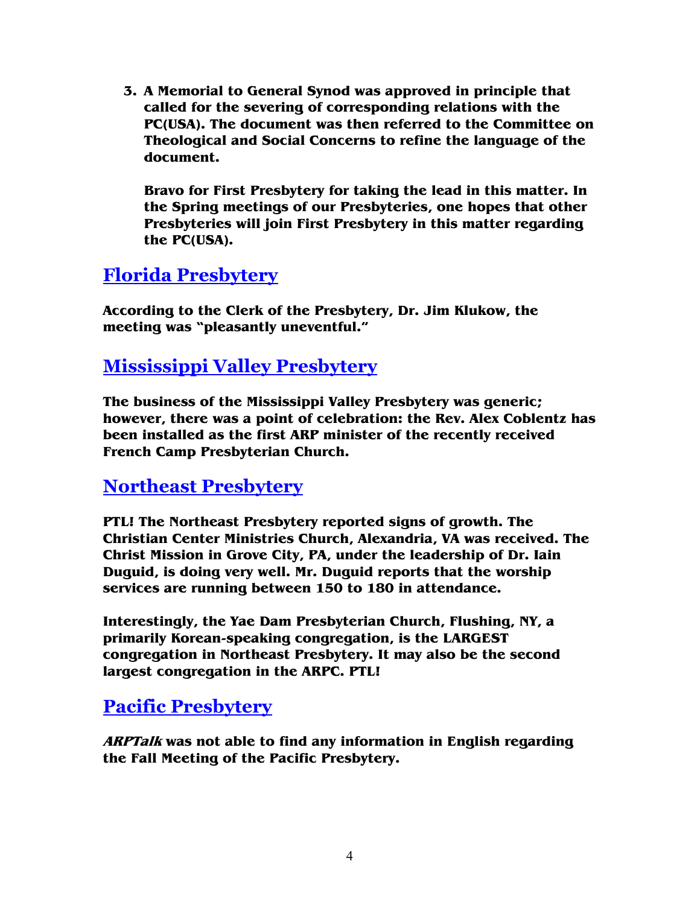**3. A Memorial to General Synod was approved in principle that called for the severing of corresponding relations with the PC(USA). The document was then referred to the Committee on Theological and Social Concerns to refine the language of the document.** 

**Bravo for First Presbytery for taking the lead in this matter. In the Spring meetings of our Presbyteries, one hopes that other Presbyteries will join First Presbytery in this matter regarding the PC(USA).** 

#### **Florida Presbytery**

**According to the Clerk of the Presbytery, Dr. Jim Klukow, the meeting was "pleasantly uneventful."** 

#### **Mississippi Valley Presbytery**

**The business of the Mississippi Valley Presbytery was generic; however, there was a point of celebration: the Rev. Alex Coblentz has been installed as the first ARP minister of the recently received French Camp Presbyterian Church.** 

#### **Northeast Presbytery**

**PTL! The Northeast Presbytery reported signs of growth. The Christian Center Ministries Church, Alexandria, VA was received. The Christ Mission in Grove City, PA, under the leadership of Dr. Iain Duguid, is doing very well. Mr. Duguid reports that the worship services are running between 150 to 180 in attendance.** 

**Interestingly, the Yae Dam Presbyterian Church, Flushing, NY, a primarily Korean-speaking congregation, is the LARGEST congregation in Northeast Presbytery. It may also be the second largest congregation in the ARPC. PTL!** 

#### **Pacific Presbytery**

**ARPTalk was not able to find any information in English regarding the Fall Meeting of the Pacific Presbytery.**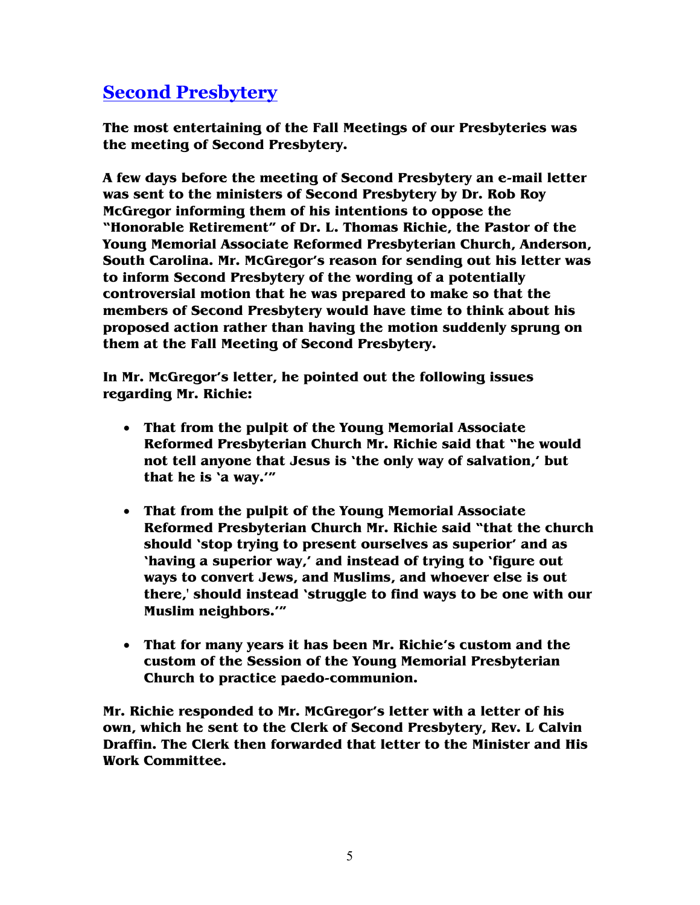#### **Second Presbytery**

**The most entertaining of the Fall Meetings of our Presbyteries was the meeting of Second Presbytery.** 

**A few days before the meeting of Second Presbytery an e-mail letter was sent to the ministers of Second Presbytery by Dr. Rob Roy McGregor informing them of his intentions to oppose the "Honorable Retirement" of Dr. L. Thomas Richie, the Pastor of the Young Memorial Associate Reformed Presbyterian Church, Anderson, South Carolina. Mr. McGregor's reason for sending out his letter was to inform Second Presbytery of the wording of a potentially controversial motion that he was prepared to make so that the members of Second Presbytery would have time to think about his proposed action rather than having the motion suddenly sprung on them at the Fall Meeting of Second Presbytery.** 

**In Mr. McGregor's letter, he pointed out the following issues regarding Mr. Richie:** 

- **That from the pulpit of the Young Memorial Associate Reformed Presbyterian Church Mr. Richie said that "he would not tell anyone that Jesus is 'the only way of salvation,' but that he is 'a way.'"**
- **That from the pulpit of the Young Memorial Associate Reformed Presbyterian Church Mr. Richie said "that the church should 'stop trying to present ourselves as superior' and as 'having a superior way,' and instead of trying to 'figure out ways to convert Jews, and Muslims, and whoever else is out there,' should instead 'struggle to find ways to be one with our Muslim neighbors.'"**
- **That for many years it has been Mr. Richie's custom and the custom of the Session of the Young Memorial Presbyterian Church to practice paedo-communion.**

**Mr. Richie responded to Mr. McGregor's letter with a letter of his own, which he sent to the Clerk of Second Presbytery, Rev. L Calvin Draffin. The Clerk then forwarded that letter to the Minister and His Work Committee.**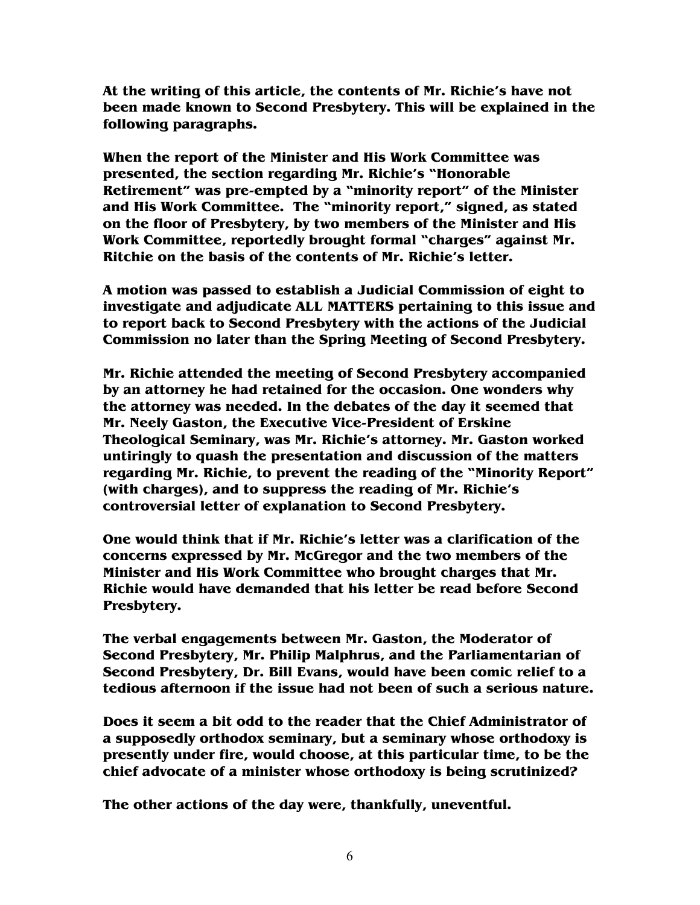**At the writing of this article, the contents of Mr. Richie's have not been made known to Second Presbytery. This will be explained in the following paragraphs.** 

**When the report of the Minister and His Work Committee was presented, the section regarding Mr. Richie's "Honorable Retirement" was pre-empted by a "minority report" of the Minister and His Work Committee. The "minority report," signed, as stated on the floor of Presbytery, by two members of the Minister and His Work Committee, reportedly brought formal "charges" against Mr. Ritchie on the basis of the contents of Mr. Richie's letter.** 

**A motion was passed to establish a Judicial Commission of eight to investigate and adjudicate ALL MATTERS pertaining to this issue and to report back to Second Presbytery with the actions of the Judicial Commission no later than the Spring Meeting of Second Presbytery.** 

**Mr. Richie attended the meeting of Second Presbytery accompanied by an attorney he had retained for the occasion. One wonders why the attorney was needed. In the debates of the day it seemed that Mr. Neely Gaston, the Executive Vice-President of Erskine Theological Seminary, was Mr. Richie's attorney. Mr. Gaston worked untiringly to quash the presentation and discussion of the matters regarding Mr. Richie, to prevent the reading of the "Minority Report" (with charges), and to suppress the reading of Mr. Richie's controversial letter of explanation to Second Presbytery.** 

**One would think that if Mr. Richie's letter was a clarification of the concerns expressed by Mr. McGregor and the two members of the Minister and His Work Committee who brought charges that Mr. Richie would have demanded that his letter be read before Second Presbytery.** 

**The verbal engagements between Mr. Gaston, the Moderator of Second Presbytery, Mr. Philip Malphrus, and the Parliamentarian of Second Presbytery, Dr. Bill Evans, would have been comic relief to a tedious afternoon if the issue had not been of such a serious nature.** 

**Does it seem a bit odd to the reader that the Chief Administrator of a supposedly orthodox seminary, but a seminary whose orthodoxy is presently under fire, would choose, at this particular time, to be the chief advocate of a minister whose orthodoxy is being scrutinized?** 

**The other actions of the day were, thankfully, uneventful.**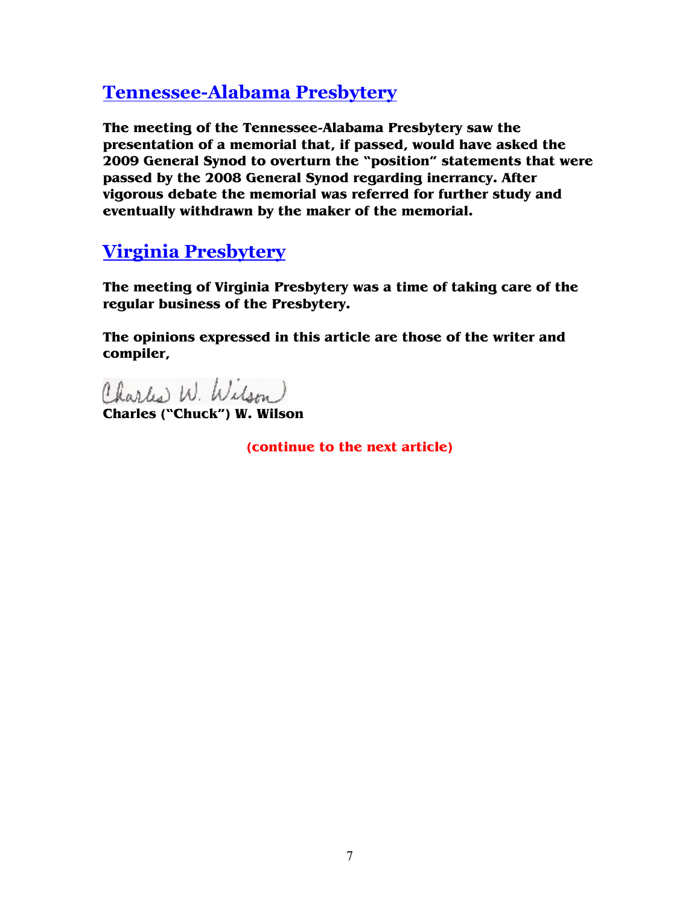#### **Tennessee-Alabama Presbytery**

**The meeting of the Tennessee-Alabama Presbytery saw the presentation of a memorial that, if passed, would have asked the 2009 General Synod to overturn the "position" statements that were passed by the 2008 General Synod regarding inerrancy. After vigorous debate the memorial was referred for further study and eventually withdrawn by the maker of the memorial.** 

#### **Virginia Presbytery**

**The meeting of Virginia Presbytery was a time of taking care of the regular business of the Presbytery.** 

**The opinions expressed in this article are those of the writer and compiler,** 

Charles W. Wilson

**Charles ("Chuck") W. Wilson**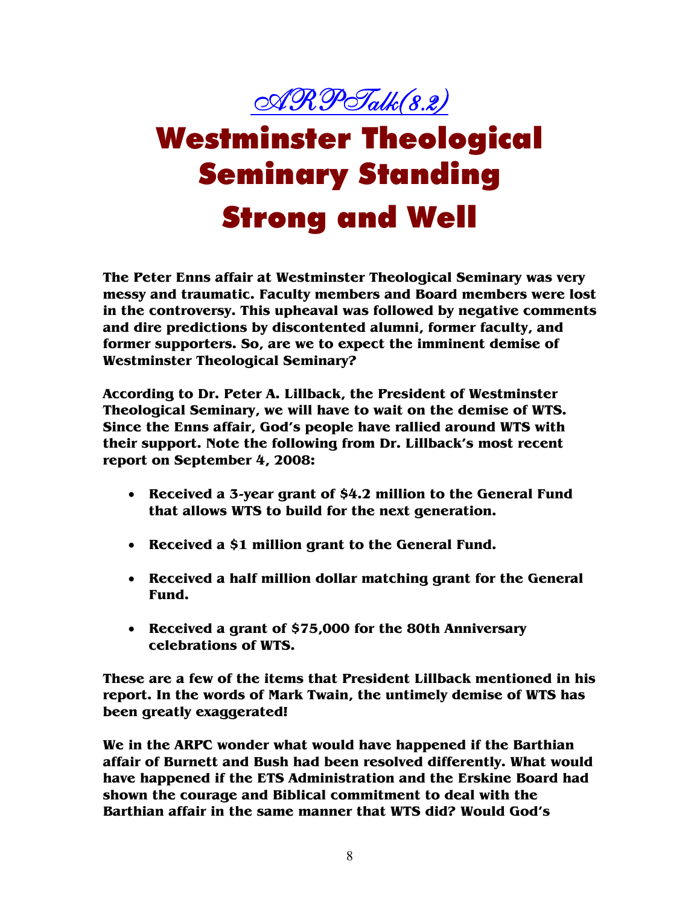

# Westminster Theological Seminary Standing Strong and Well

**The Peter Enns affair at Westminster Theological Seminary was very messy and traumatic. Faculty members and Board members were lost in the controversy. This upheaval was followed by negative comments and dire predictions by discontented alumni, former faculty, and former supporters. So, are we to expect the imminent demise of Westminster Theological Seminary?** 

**According to Dr. Peter A. Lillback, the President of Westminster Theological Seminary, we will have to wait on the demise of WTS. Since the Enns affair, God's people have rallied around WTS with their support. Note the following from Dr. Lillback's most recent report on September 4, 2008:** 

- **Received a 3-year grant of \$4.2 million to the General Fund that allows WTS to build for the next generation.**
- **Received a \$1 million grant to the General Fund.**
- **Received a half million dollar matching grant for the General Fund.**
- **Received a grant of \$75,000 for the 80th Anniversary celebrations of WTS.**

**These are a few of the items that President Lillback mentioned in his report. In the words of Mark Twain, the untimely demise of WTS has been greatly exaggerated!** 

**We in the ARPC wonder what would have happened if the Barthian affair of Burnett and Bush had been resolved differently. What would have happened if the ETS Administration and the Erskine Board had shown the courage and Biblical commitment to deal with the Barthian affair in the same manner that WTS did? Would God's**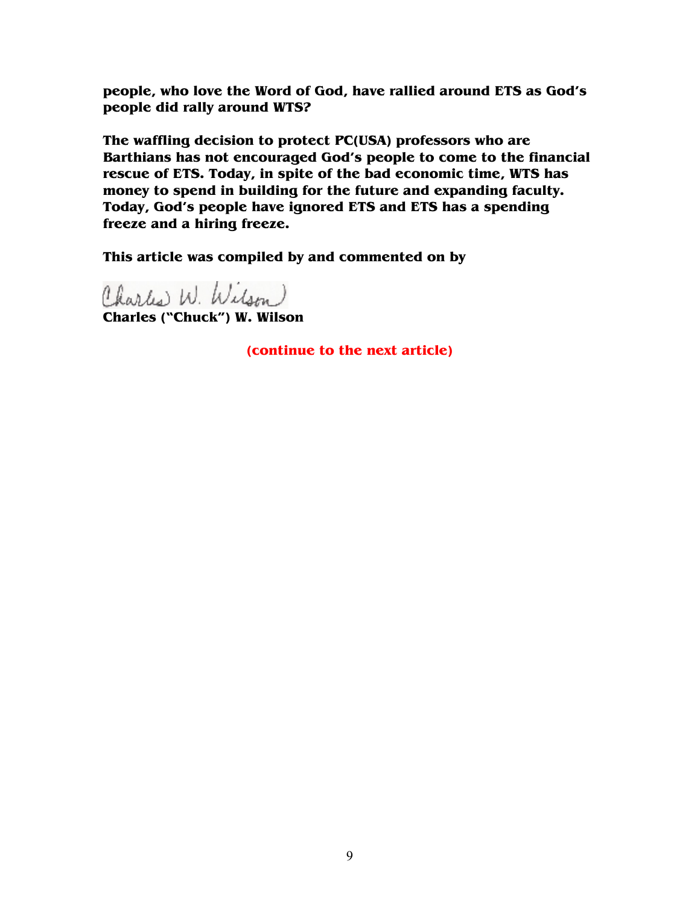**people, who love the Word of God, have rallied around ETS as God's people did rally around WTS?** 

**The waffling decision to protect PC(USA) professors who are Barthians has not encouraged God's people to come to the financial rescue of ETS. Today, in spite of the bad economic time, WTS has money to spend in building for the future and expanding faculty. Today, God's people have ignored ETS and ETS has a spending freeze and a hiring freeze.** 

**This article was compiled by and commented on by** 

Charles W. Wilson **Charles ("Chuck") W. Wilson**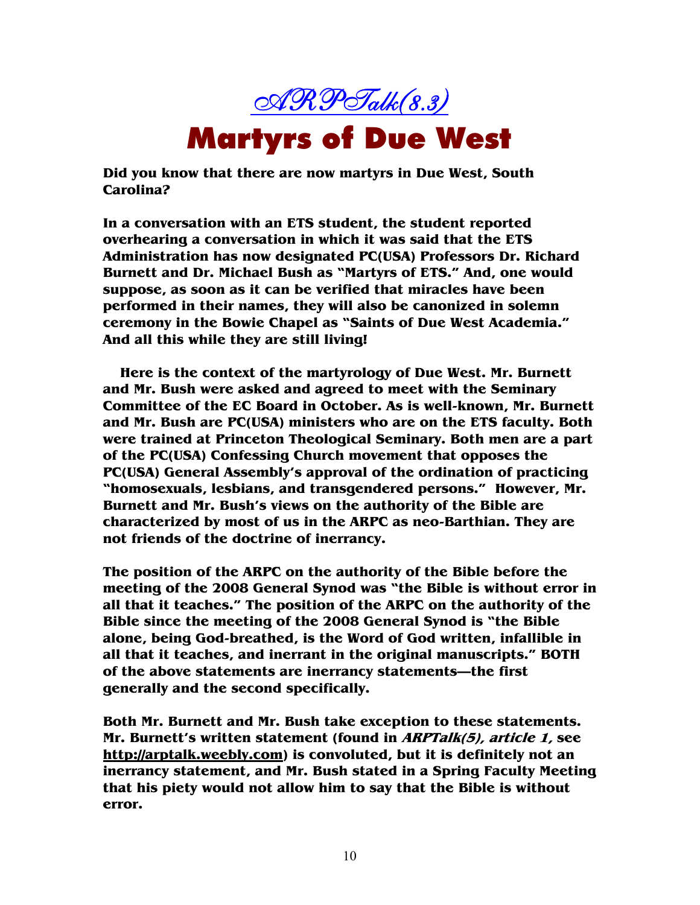

**Did you know that there are now martyrs in Due West, South Carolina?** 

**In a conversation with an ETS student, the student reported overhearing a conversation in which it was said that the ETS Administration has now designated PC(USA) Professors Dr. Richard Burnett and Dr. Michael Bush as "Martyrs of ETS." And, one would suppose, as soon as it can be verified that miracles have been performed in their names, they will also be canonized in solemn ceremony in the Bowie Chapel as "Saints of Due West Academia." And all this while they are still living!** 

**Here is the context of the martyrology of Due West. Mr. Burnett and Mr. Bush were asked and agreed to meet with the Seminary Committee of the EC Board in October. As is well-known, Mr. Burnett and Mr. Bush are PC(USA) ministers who are on the ETS faculty. Both were trained at Princeton Theological Seminary. Both men are a part of the PC(USA) Confessing Church movement that opposes the PC(USA) General Assembly's approval of the ordination of practicing "homosexuals, lesbians, and transgendered persons." However, Mr. Burnett and Mr. Bush's views on the authority of the Bible are characterized by most of us in the ARPC as neo-Barthian. They are not friends of the doctrine of inerrancy.** 

**The position of the ARPC on the authority of the Bible before the meeting of the 2008 General Synod was "the Bible is without error in all that it teaches." The position of the ARPC on the authority of the Bible since the meeting of the 2008 General Synod is "the Bible alone, being God-breathed, is the Word of God written, infallible in all that it teaches, and inerrant in the original manuscripts." BOTH of the above statements are inerrancy statements—the first generally and the second specifically.** 

**Both Mr. Burnett and Mr. Bush take exception to these statements. Mr. Burnett's written statement (found in ARPTalk(5), article 1, see http://arptalk.weebly.com) is convoluted, but it is definitely not an inerrancy statement, and Mr. Bush stated in a Spring Faculty Meeting that his piety would not allow him to say that the Bible is without error.**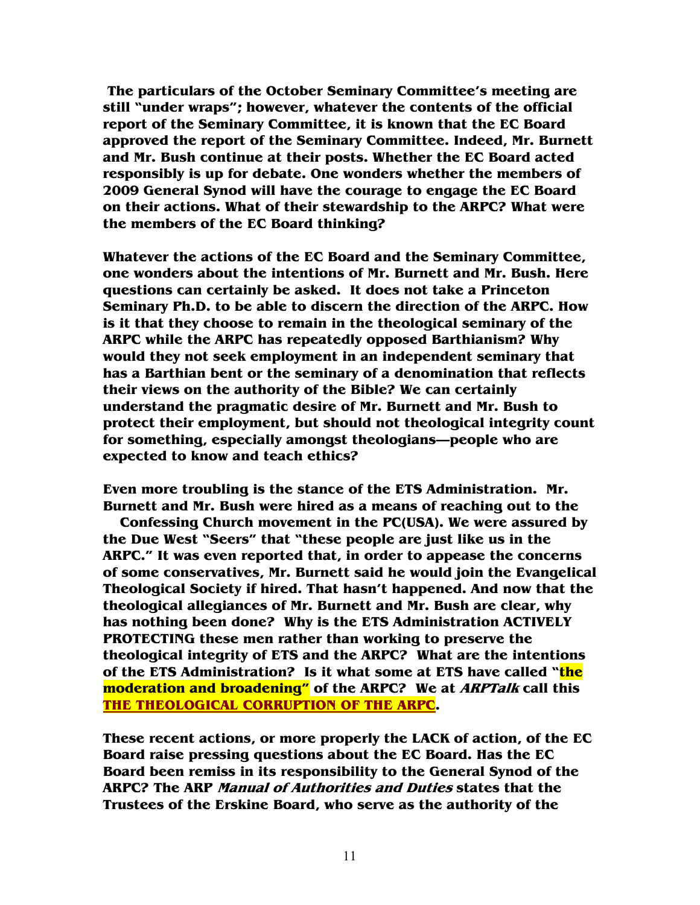**The particulars of the October Seminary Committee's meeting are still "under wraps"; however, whatever the contents of the official report of the Seminary Committee, it is known that the EC Board approved the report of the Seminary Committee. Indeed, Mr. Burnett and Mr. Bush continue at their posts. Whether the EC Board acted responsibly is up for debate. One wonders whether the members of 2009 General Synod will have the courage to engage the EC Board on their actions. What of their stewardship to the ARPC? What were the members of the EC Board thinking?** 

**Whatever the actions of the EC Board and the Seminary Committee, one wonders about the intentions of Mr. Burnett and Mr. Bush. Here questions can certainly be asked. It does not take a Princeton Seminary Ph.D. to be able to discern the direction of the ARPC. How is it that they choose to remain in the theological seminary of the ARPC while the ARPC has repeatedly opposed Barthianism? Why would they not seek employment in an independent seminary that has a Barthian bent or the seminary of a denomination that reflects their views on the authority of the Bible? We can certainly understand the pragmatic desire of Mr. Burnett and Mr. Bush to protect their employment, but should not theological integrity count for something, especially amongst theologians—people who are expected to know and teach ethics?** 

**Even more troubling is the stance of the ETS Administration. Mr. Burnett and Mr. Bush were hired as a means of reaching out to the** 

**Confessing Church movement in the PC(USA). We were assured by the Due West "Seers" that "these people are just like us in the ARPC." It was even reported that, in order to appease the concerns of some conservatives, Mr. Burnett said he would join the Evangelical Theological Society if hired. That hasn't happened. And now that the theological allegiances of Mr. Burnett and Mr. Bush are clear, why has nothing been done? Why is the ETS Administration ACTIVELY PROTECTING these men rather than working to preserve the theological integrity of ETS and the ARPC? What are the intentions of the ETS Administration? Is it what some at ETS have called "the moderation and broadening" of the ARPC? We at ARPTalk call this THE THEOLOGICAL CORRUPTION OF THE ARPC.** 

**These recent actions, or more properly the LACK of action, of the EC Board raise pressing questions about the EC Board. Has the EC Board been remiss in its responsibility to the General Synod of the ARPC? The ARP Manual of Authorities and Duties states that the Trustees of the Erskine Board, who serve as the authority of the**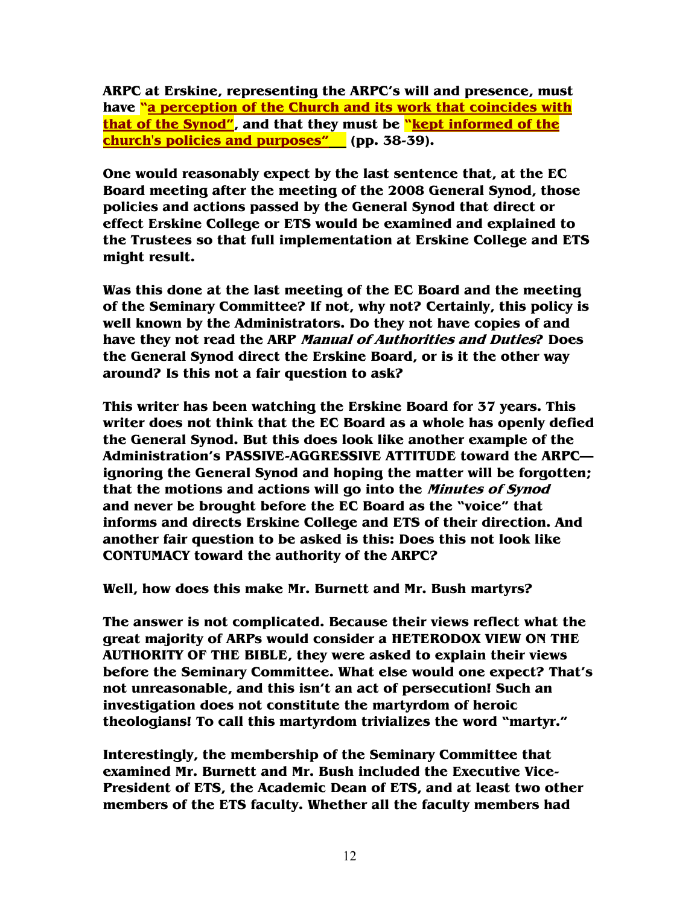**ARPC at Erskine, representing the ARPC's will and presence, must have "a perception of the Church and its work that coincides with that of the Synod", and that they must be "kept informed of the church's policies and purposes" (pp. 38-39).** 

**One would reasonably expect by the last sentence that, at the EC Board meeting after the meeting of the 2008 General Synod, those policies and actions passed by the General Synod that direct or effect Erskine College or ETS would be examined and explained to the Trustees so that full implementation at Erskine College and ETS might result.** 

**Was this done at the last meeting of the EC Board and the meeting of the Seminary Committee? If not, why not? Certainly, this policy is well known by the Administrators. Do they not have copies of and have they not read the ARP Manual of Authorities and Duties? Does the General Synod direct the Erskine Board, or is it the other way around? Is this not a fair question to ask?** 

**This writer has been watching the Erskine Board for 37 years. This writer does not think that the EC Board as a whole has openly defied the General Synod. But this does look like another example of the Administration's PASSIVE-AGGRESSIVE ATTITUDE toward the ARPC ignoring the General Synod and hoping the matter will be forgotten; that the motions and actions will go into the Minutes of Synod and never be brought before the EC Board as the "voice" that informs and directs Erskine College and ETS of their direction. And another fair question to be asked is this: Does this not look like CONTUMACY toward the authority of the ARPC?** 

**Well, how does this make Mr. Burnett and Mr. Bush martyrs?** 

**The answer is not complicated. Because their views reflect what the great majority of ARPs would consider a HETERODOX VIEW ON THE AUTHORITY OF THE BIBLE, they were asked to explain their views before the Seminary Committee. What else would one expect? That's not unreasonable, and this isn't an act of persecution! Such an investigation does not constitute the martyrdom of heroic theologians! To call this martyrdom trivializes the word "martyr."** 

**Interestingly, the membership of the Seminary Committee that examined Mr. Burnett and Mr. Bush included the Executive Vice-President of ETS, the Academic Dean of ETS, and at least two other members of the ETS faculty. Whether all the faculty members had**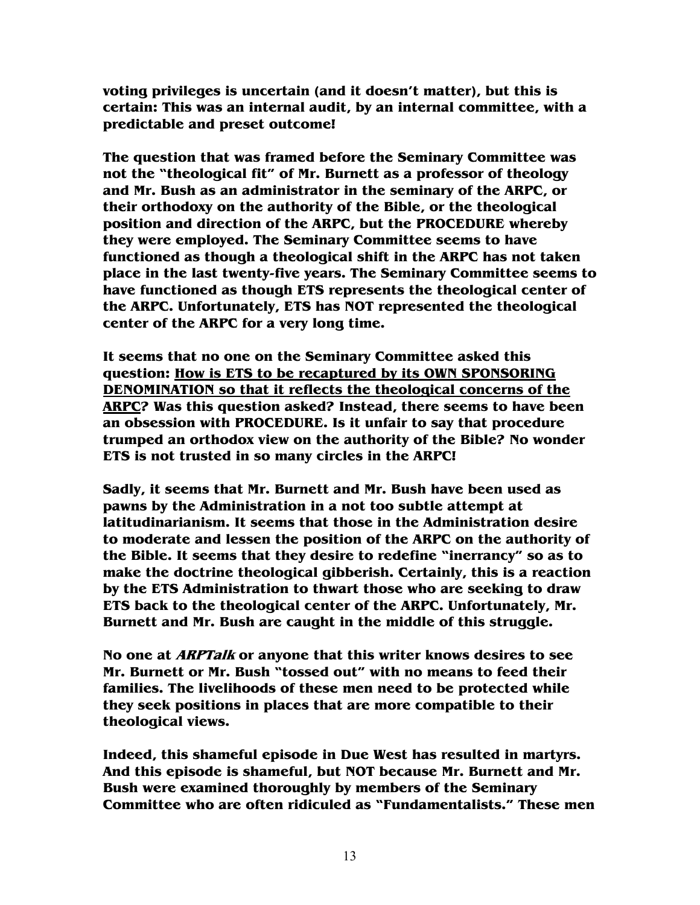**voting privileges is uncertain (and it doesn't matter), but this is certain: This was an internal audit, by an internal committee, with a predictable and preset outcome!** 

**The question that was framed before the Seminary Committee was not the "theological fit" of Mr. Burnett as a professor of theology and Mr. Bush as an administrator in the seminary of the ARPC, or their orthodoxy on the authority of the Bible, or the theological position and direction of the ARPC, but the PROCEDURE whereby they were employed. The Seminary Committee seems to have functioned as though a theological shift in the ARPC has not taken place in the last twenty-five years. The Seminary Committee seems to have functioned as though ETS represents the theological center of the ARPC. Unfortunately, ETS has NOT represented the theological center of the ARPC for a very long time.** 

**It seems that no one on the Seminary Committee asked this question: How is ETS to be recaptured by its OWN SPONSORING DENOMINATION so that it reflects the theological concerns of the ARPC? Was this question asked? Instead, there seems to have been an obsession with PROCEDURE. Is it unfair to say that procedure trumped an orthodox view on the authority of the Bible? No wonder ETS is not trusted in so many circles in the ARPC!** 

**Sadly, it seems that Mr. Burnett and Mr. Bush have been used as pawns by the Administration in a not too subtle attempt at latitudinarianism. It seems that those in the Administration desire to moderate and lessen the position of the ARPC on the authority of the Bible. It seems that they desire to redefine "inerrancy" so as to make the doctrine theological gibberish. Certainly, this is a reaction by the ETS Administration to thwart those who are seeking to draw ETS back to the theological center of the ARPC. Unfortunately, Mr. Burnett and Mr. Bush are caught in the middle of this struggle.** 

**No one at ARPTalk or anyone that this writer knows desires to see Mr. Burnett or Mr. Bush "tossed out" with no means to feed their families. The livelihoods of these men need to be protected while they seek positions in places that are more compatible to their theological views.** 

**Indeed, this shameful episode in Due West has resulted in martyrs. And this episode is shameful, but NOT because Mr. Burnett and Mr. Bush were examined thoroughly by members of the Seminary Committee who are often ridiculed as "Fundamentalists." These men**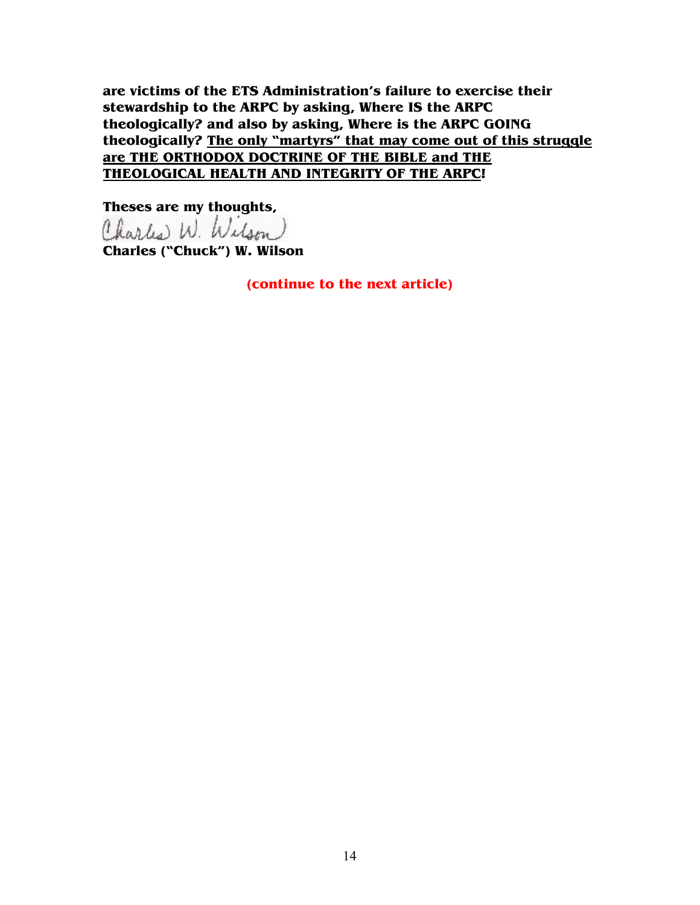**are victims of the ETS Administration's failure to exercise their stewardship to the ARPC by asking, Where IS the ARPC theologically? and also by asking, Where is the ARPC GOING theologically? The only "martyrs" that may come out of this struggle are THE ORTHODOX DOCTRINE OF THE BIBLE and THE THEOLOGICAL HEALTH AND INTEGRITY OF THE ARPC!** 

**Theses are my thoughts,<br>Charles W. Wilson** 

**Charles ("Chuck") W. Wilson**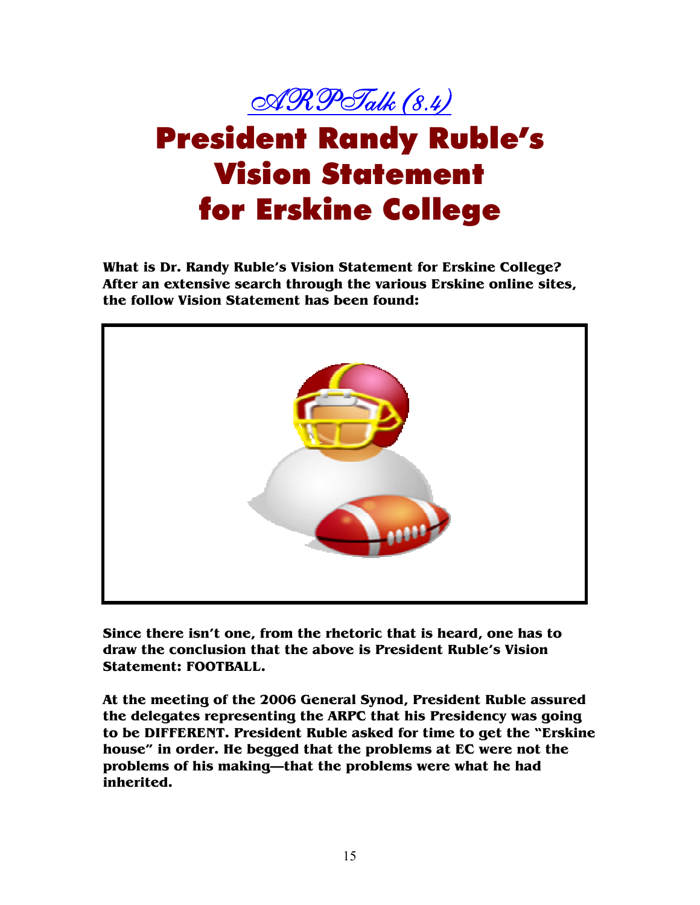

## President Randy Ruble's Vision Statement for Erskine College

**What is Dr. Randy Ruble's Vision Statement for Erskine College? After an extensive search through the various Erskine online sites, the follow Vision Statement has been found:** 



**Since there isn't one, from the rhetoric that is heard, one has to draw the conclusion that the above is President Ruble's Vision Statement: FOOTBALL.** 

**At the meeting of the 2006 General Synod, President Ruble assured the delegates representing the ARPC that his Presidency was going to be DIFFERENT. President Ruble asked for time to get the "Erskine house" in order. He begged that the problems at EC were not the problems of his making—that the problems were what he had inherited.**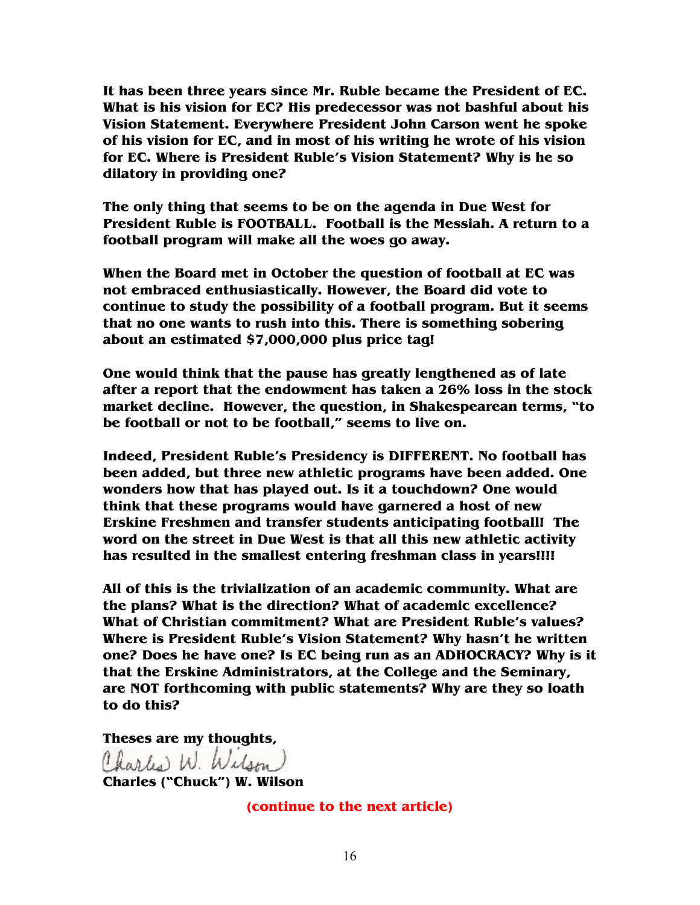**It has been three years since Mr. Ruble became the President of EC. What is his vision for EC? His predecessor was not bashful about his Vision Statement. Everywhere President John Carson went he spoke of his vision for EC, and in most of his writing he wrote of his vision for EC. Where is President Ruble's Vision Statement? Why is he so dilatory in providing one?** 

**The only thing that seems to be on the agenda in Due West for President Ruble is FOOTBALL. Football is the Messiah. A return to a football program will make all the woes go away.** 

**When the Board met in October the question of football at EC was not embraced enthusiastically. However, the Board did vote to continue to study the possibility of a football program. But it seems that no one wants to rush into this. There is something sobering about an estimated \$7,000,000 plus price tag!** 

**One would think that the pause has greatly lengthened as of late after a report that the endowment has taken a 26% loss in the stock market decline. However, the question, in Shakespearean terms, "to be football or not to be football," seems to live on.** 

**Indeed, President Ruble's Presidency is DIFFERENT. No football has been added, but three new athletic programs have been added. One wonders how that has played out. Is it a touchdown? One would think that these programs would have garnered a host of new Erskine Freshmen and transfer students anticipating football! The word on the street in Due West is that all this new athletic activity has resulted in the smallest entering freshman class in years!!!!** 

**All of this is the trivialization of an academic community. What are the plans? What is the direction? What of academic excellence? What of Christian commitment? What are President Ruble's values? Where is President Ruble's Vision Statement? Why hasn't he written one? Does he have one? Is EC being run as an ADHOCRACY? Why is it that the Erskine Administrators, at the College and the Seminary, are NOT forthcoming with public statements? Why are they so loath to do this?** 

**Theses are my thoughts,<br>Charles W. Wilson)** 

**Charles ("Chuck") W. Wilson**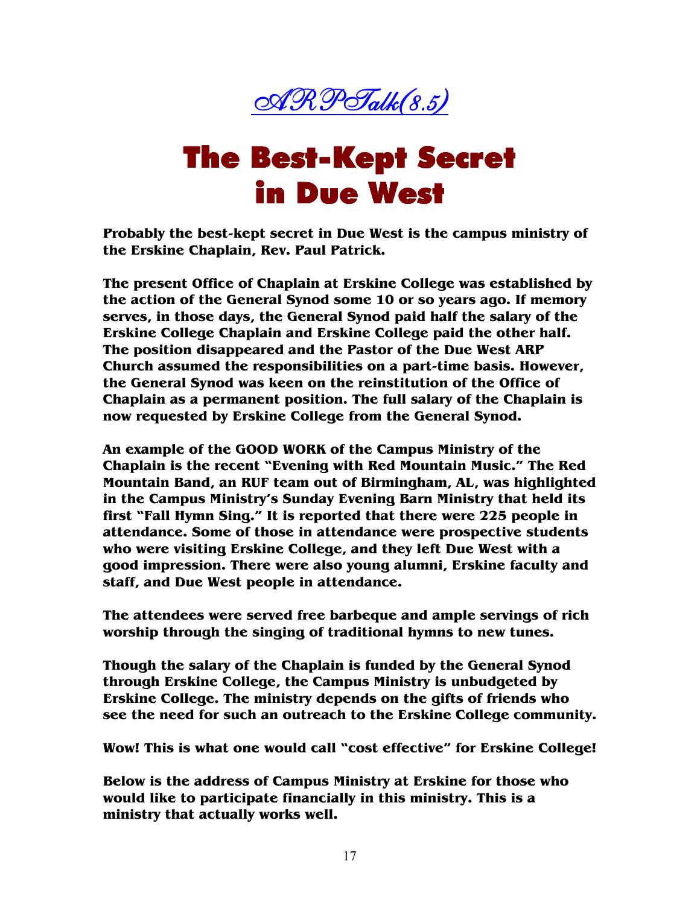

### **The Best-Kept Secret** in Due West

**Probably the best-kept secret in Due West is the campus ministry of the Erskine Chaplain, Rev. Paul Patrick.** 

**The present Office of Chaplain at Erskine College was established by the action of the General Synod some 10 or so years ago. If memory serves, in those days, the General Synod paid half the salary of the Erskine College Chaplain and Erskine College paid the other half. The position disappeared and the Pastor of the Due West ARP Church assumed the responsibilities on a part-time basis. However, the General Synod was keen on the reinstitution of the Office of Chaplain as a permanent position. The full salary of the Chaplain is now requested by Erskine College from the General Synod.** 

**An example of the GOOD WORK of the Campus Ministry of the Chaplain is the recent "Evening with Red Mountain Music." The Red Mountain Band, an RUF team out of Birmingham, AL, was highlighted in the Campus Ministry's Sunday Evening Barn Ministry that held its first "Fall Hymn Sing." It is reported that there were 225 people in attendance. Some of those in attendance were prospective students who were visiting Erskine College, and they left Due West with a good impression. There were also young alumni, Erskine faculty and staff, and Due West people in attendance.** 

**The attendees were served free barbeque and ample servings of rich worship through the singing of traditional hymns to new tunes.** 

**Though the salary of the Chaplain is funded by the General Synod through Erskine College, the Campus Ministry is unbudgeted by Erskine College. The ministry depends on the gifts of friends who see the need for such an outreach to the Erskine College community.** 

**Wow! This is what one would call "cost effective" for Erskine College!** 

**Below is the address of Campus Ministry at Erskine for those who would like to participate financially in this ministry. This is a ministry that actually works well.**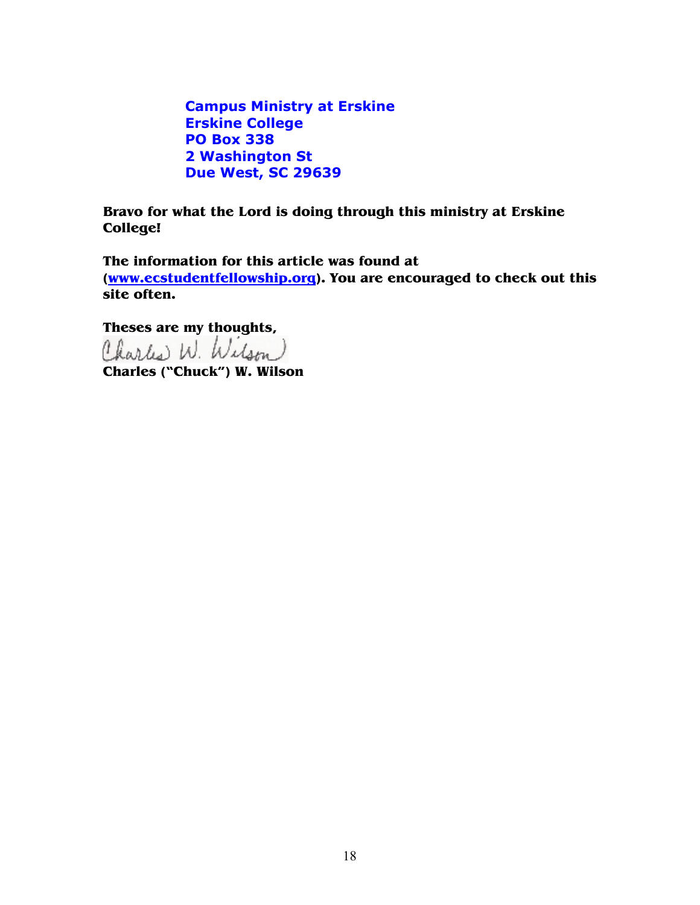**Campus Ministry at Erskine Erskine College PO Box 338 2 Washington St Due West, SC 29639**

**Bravo for what the Lord is doing through this ministry at Erskine College!** 

**The information for this article was found at (www.ecstudentfellowship.org). You are encouraged to check out this site often.** 

**Theses are my thoughts,<br>Charles** W. Wilson

**Charles ("Chuck") W. Wilson**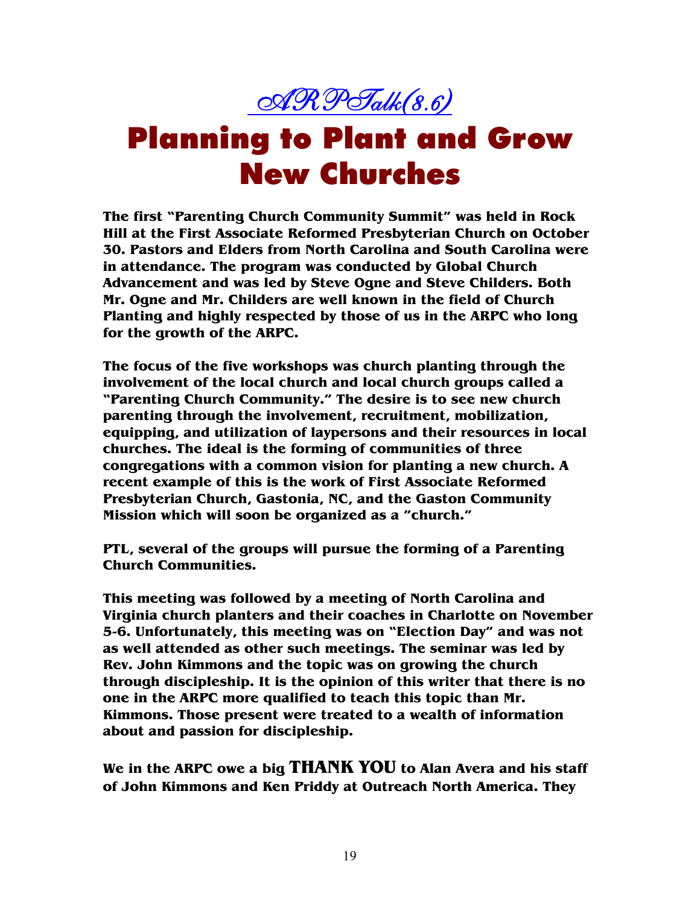

### Planning to Plant and Grow New Churches

**The first "Parenting Church Community Summit" was held in Rock Hill at the First Associate Reformed Presbyterian Church on October 30. Pastors and Elders from North Carolina and South Carolina were in attendance. The program was conducted by Global Church Advancement and was led by Steve Ogne and Steve Childers. Both Mr. Ogne and Mr. Childers are well known in the field of Church Planting and highly respected by those of us in the ARPC who long for the growth of the ARPC.** 

**The focus of the five workshops was church planting through the involvement of the local church and local church groups called a "Parenting Church Community." The desire is to see new church parenting through the involvement, recruitment, mobilization, equipping, and utilization of laypersons and their resources in local churches. The ideal is the forming of communities of three congregations with a common vision for planting a new church. A recent example of this is the work of First Associate Reformed Presbyterian Church, Gastonia, NC, and the Gaston Community Mission which will soon be organized as a "church."** 

**PTL, several of the groups will pursue the forming of a Parenting Church Communities.** 

**This meeting was followed by a meeting of North Carolina and Virginia church planters and their coaches in Charlotte on November 5-6. Unfortunately, this meeting was on "Election Day" and was not as well attended as other such meetings. The seminar was led by Rev. John Kimmons and the topic was on growing the church through discipleship. It is the opinion of this writer that there is no one in the ARPC more qualified to teach this topic than Mr. Kimmons. Those present were treated to a wealth of information about and passion for discipleship.** 

**We in the ARPC owe a big THANK YOU to Alan Avera and his staff of John Kimmons and Ken Priddy at Outreach North America. They**